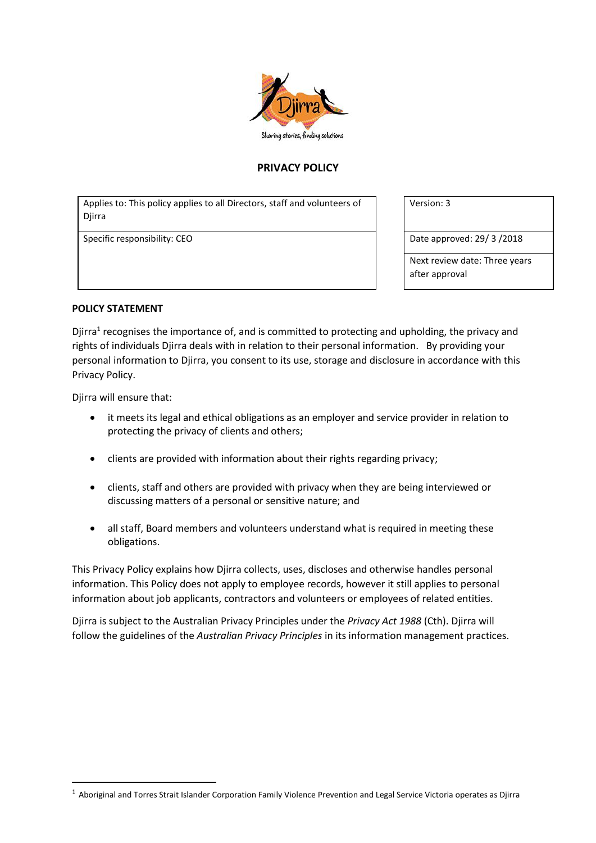

# **PRIVACY POLICY**

Applies to: This policy applies to all Directors, staff and volunteers of **Diirra** 

Specific responsibility: CEO **Date approved: 29/ 3 /2018** 

Version: 3

Next review date: Three years after approval

#### **POLICY STATEMENT**

Djirra<sup>1</sup> recognises the importance of, and is committed to protecting and upholding, the privacy and rights of individuals Djirra deals with in relation to their personal information. By providing your personal information to Djirra, you consent to its use, storage and disclosure in accordance with this Privacy Policy.

Djirra will ensure that:

-

- it meets its legal and ethical obligations as an employer and service provider in relation to protecting the privacy of clients and others;
- clients are provided with information about their rights regarding privacy;
- clients, staff and others are provided with privacy when they are being interviewed or discussing matters of a personal or sensitive nature; and
- all staff, Board members and volunteers understand what is required in meeting these obligations.

This Privacy Policy explains how Djirra collects, uses, discloses and otherwise handles personal information. This Policy does not apply to employee records, however it still applies to personal information about job applicants, contractors and volunteers or employees of related entities.

Djirra is subject to the Australian Privacy Principles under the *Privacy Act 1988* (Cth). Djirra will follow the guidelines of the *Australian Privacy Principles* in its information management practices.

<sup>1</sup> Aboriginal and Torres Strait Islander Corporation Family Violence Prevention and Legal Service Victoria operates as Djirra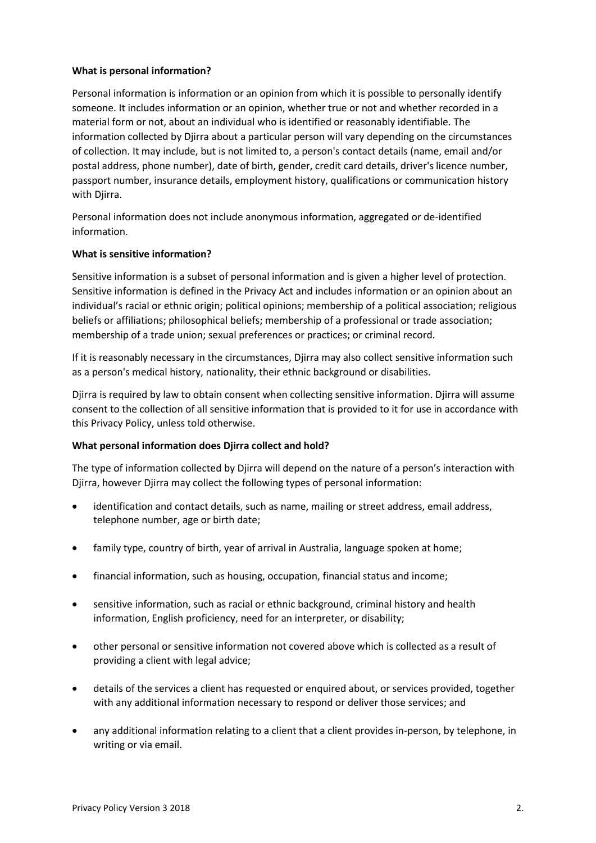### **What is personal information?**

Personal information is information or an opinion from which it is possible to personally identify someone. It includes information or an opinion, whether true or not and whether recorded in a material form or not, about an individual who is identified or reasonably identifiable. The information collected by Djirra about a particular person will vary depending on the circumstances of collection. It may include, but is not limited to, a person's contact details (name, email and/or postal address, phone number), date of birth, gender, credit card details, driver's licence number, passport number, insurance details, employment history, qualifications or communication history with Djirra.

Personal information does not include anonymous information, aggregated or de-identified information.

### **What is sensitive information?**

Sensitive information is a subset of personal information and is given a higher level of protection. Sensitive information is defined in the Privacy Act and includes information or an opinion about an individual's racial or ethnic origin; political opinions; membership of a political association; religious beliefs or affiliations; philosophical beliefs; membership of a professional or trade association; membership of a trade union; sexual preferences or practices; or criminal record.

If it is reasonably necessary in the circumstances, Djirra may also collect sensitive information such as a person's medical history, nationality, their ethnic background or disabilities.

Djirra is required by law to obtain consent when collecting sensitive information. Djirra will assume consent to the collection of all sensitive information that is provided to it for use in accordance with this Privacy Policy, unless told otherwise.

## **What personal information does Djirra collect and hold?**

The type of information collected by Djirra will depend on the nature of a person's interaction with Djirra, however Djirra may collect the following types of personal information:

- identification and contact details, such as name, mailing or street address, email address, telephone number, age or birth date;
- family type, country of birth, year of arrival in Australia, language spoken at home;
- financial information, such as housing, occupation, financial status and income;
- sensitive information, such as racial or ethnic background, criminal history and health information, English proficiency, need for an interpreter, or disability;
- other personal or sensitive information not covered above which is collected as a result of providing a client with legal advice;
- details of the services a client has requested or enquired about, or services provided, together with any additional information necessary to respond or deliver those services; and
- any additional information relating to a client that a client provides in-person, by telephone, in writing or via email.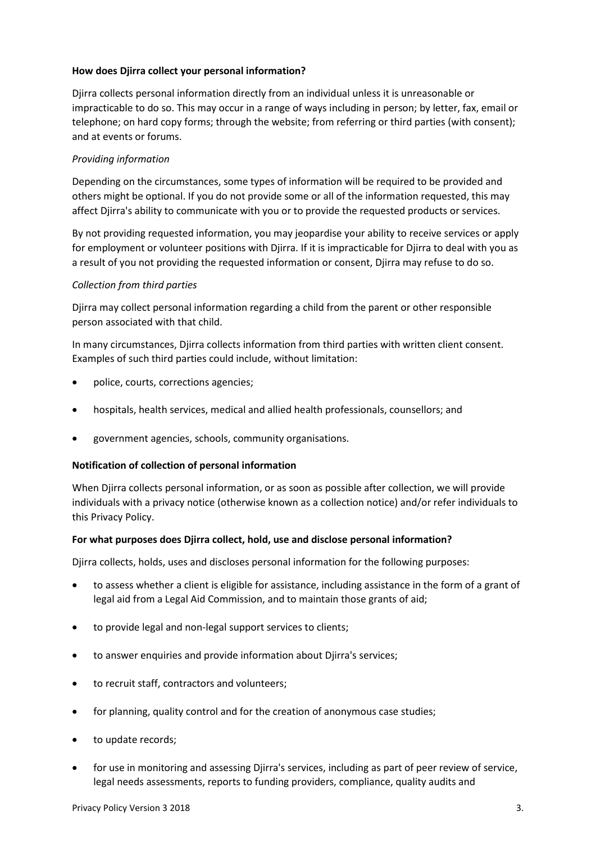### **How does Djirra collect your personal information?**

Djirra collects personal information directly from an individual unless it is unreasonable or impracticable to do so. This may occur in a range of ways including in person; by letter, fax, email or telephone; on hard copy forms; through the website; from referring or third parties (with consent); and at events or forums.

### *Providing information*

Depending on the circumstances, some types of information will be required to be provided and others might be optional. If you do not provide some or all of the information requested, this may affect Djirra's ability to communicate with you or to provide the requested products or services.

By not providing requested information, you may jeopardise your ability to receive services or apply for employment or volunteer positions with Djirra. If it is impracticable for Djirra to deal with you as a result of you not providing the requested information or consent, Djirra may refuse to do so.

#### *Collection from third parties*

Djirra may collect personal information regarding a child from the parent or other responsible person associated with that child.

In many circumstances, Djirra collects information from third parties with written client consent. Examples of such third parties could include, without limitation:

- police, courts, corrections agencies;
- hospitals, health services, medical and allied health professionals, counsellors; and
- government agencies, schools, community organisations.

#### **Notification of collection of personal information**

When Djirra collects personal information, or as soon as possible after collection, we will provide individuals with a privacy notice (otherwise known as a collection notice) and/or refer individuals to this Privacy Policy.

#### **For what purposes does Djirra collect, hold, use and disclose personal information?**

Djirra collects, holds, uses and discloses personal information for the following purposes:

- to assess whether a client is eligible for assistance, including assistance in the form of a grant of legal aid from a Legal Aid Commission, and to maintain those grants of aid;
- to provide legal and non-legal support services to clients;
- to answer enquiries and provide information about Djirra's services;
- to recruit staff, contractors and volunteers;
- for planning, quality control and for the creation of anonymous case studies;
- to update records;
- for use in monitoring and assessing Djirra's services, including as part of peer review of service, legal needs assessments, reports to funding providers, compliance, quality audits and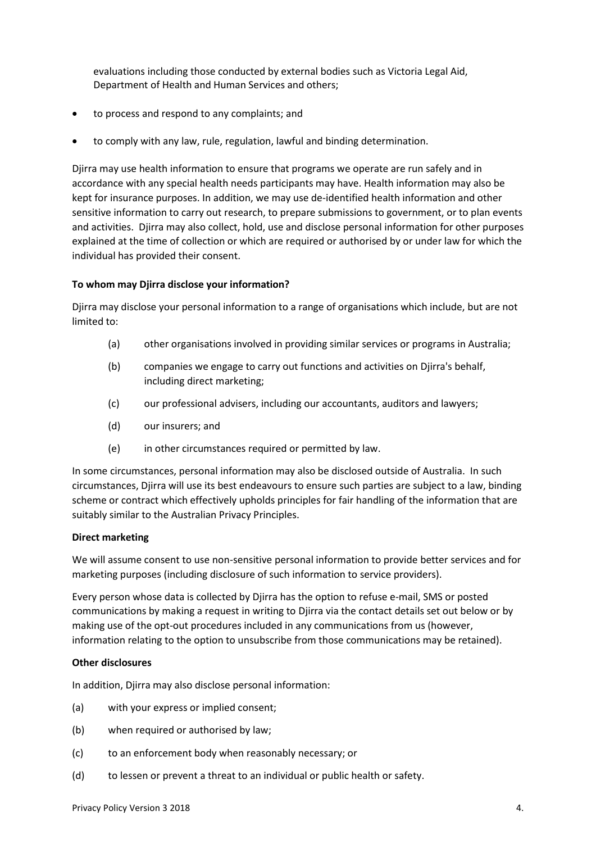evaluations including those conducted by external bodies such as Victoria Legal Aid, Department of Health and Human Services and others;

- to process and respond to any complaints; and
- to comply with any law, rule, regulation, lawful and binding determination.

Djirra may use health information to ensure that programs we operate are run safely and in accordance with any special health needs participants may have. Health information may also be kept for insurance purposes. In addition, we may use de-identified health information and other sensitive information to carry out research, to prepare submissions to government, or to plan events and activities. Djirra may also collect, hold, use and disclose personal information for other purposes explained at the time of collection or which are required or authorised by or under law for which the individual has provided their consent.

#### **To whom may Djirra disclose your information?**

Djirra may disclose your personal information to a range of organisations which include, but are not limited to:

- (a) other organisations involved in providing similar services or programs in Australia;
- (b) companies we engage to carry out functions and activities on Djirra's behalf, including direct marketing;
- (c) our professional advisers, including our accountants, auditors and lawyers;
- (d) our insurers; and
- (e) in other circumstances required or permitted by law.

In some circumstances, personal information may also be disclosed outside of Australia. In such circumstances, Djirra will use its best endeavours to ensure such parties are subject to a law, binding scheme or contract which effectively upholds principles for fair handling of the information that are suitably similar to the Australian Privacy Principles.

#### **Direct marketing**

We will assume consent to use non-sensitive personal information to provide better services and for marketing purposes (including disclosure of such information to service providers).

Every person whose data is collected by Djirra has the option to refuse e-mail, SMS or posted communications by making a request in writing to Djirra via the contact details set out below or by making use of the opt-out procedures included in any communications from us (however, information relating to the option to unsubscribe from those communications may be retained).

#### **Other disclosures**

In addition, Djirra may also disclose personal information:

- (a) with your express or implied consent;
- (b) when required or authorised by law;
- (c) to an enforcement body when reasonably necessary; or
- (d) to lessen or prevent a threat to an individual or public health or safety.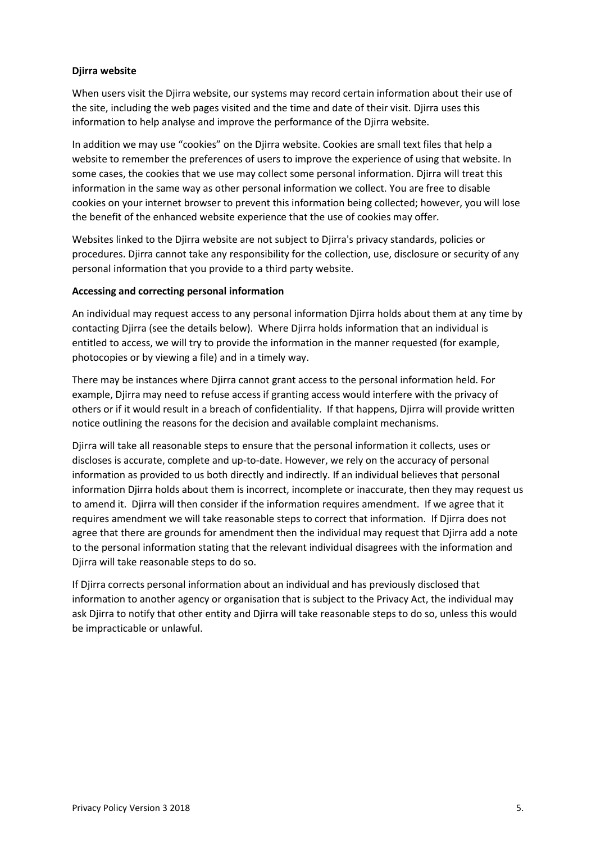### **Djirra website**

When users visit the Djirra website, our systems may record certain information about their use of the site, including the web pages visited and the time and date of their visit. Djirra uses this information to help analyse and improve the performance of the Djirra website.

In addition we may use "cookies" on the Djirra website. Cookies are small text files that help a website to remember the preferences of users to improve the experience of using that website. In some cases, the cookies that we use may collect some personal information. Djirra will treat this information in the same way as other personal information we collect. You are free to disable cookies on your internet browser to prevent this information being collected; however, you will lose the benefit of the enhanced website experience that the use of cookies may offer.

Websites linked to the Djirra website are not subject to Djirra's privacy standards, policies or procedures. Djirra cannot take any responsibility for the collection, use, disclosure or security of any personal information that you provide to a third party website.

### **Accessing and correcting personal information**

An individual may request access to any personal information Djirra holds about them at any time by contacting Djirra (see the details below). Where Djirra holds information that an individual is entitled to access, we will try to provide the information in the manner requested (for example, photocopies or by viewing a file) and in a timely way.

There may be instances where Djirra cannot grant access to the personal information held. For example, Djirra may need to refuse access if granting access would interfere with the privacy of others or if it would result in a breach of confidentiality. If that happens, Djirra will provide written notice outlining the reasons for the decision and available complaint mechanisms.

Djirra will take all reasonable steps to ensure that the personal information it collects, uses or discloses is accurate, complete and up-to-date. However, we rely on the accuracy of personal information as provided to us both directly and indirectly. If an individual believes that personal information Djirra holds about them is incorrect, incomplete or inaccurate, then they may request us to amend it. Djirra will then consider if the information requires amendment. If we agree that it requires amendment we will take reasonable steps to correct that information. If Djirra does not agree that there are grounds for amendment then the individual may request that Djirra add a note to the personal information stating that the relevant individual disagrees with the information and Djirra will take reasonable steps to do so.

If Djirra corrects personal information about an individual and has previously disclosed that information to another agency or organisation that is subject to the Privacy Act, the individual may ask Djirra to notify that other entity and Djirra will take reasonable steps to do so, unless this would be impracticable or unlawful.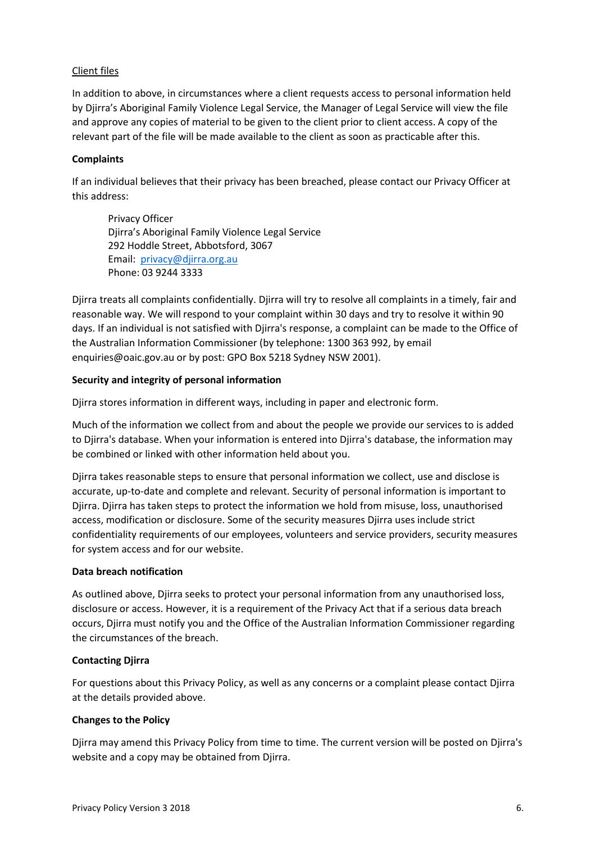### Client files

In addition to above, in circumstances where a client requests access to personal information held by Djirra's Aboriginal Family Violence Legal Service, the Manager of Legal Service will view the file and approve any copies of material to be given to the client prior to client access. A copy of the relevant part of the file will be made available to the client as soon as practicable after this.

### **Complaints**

If an individual believes that their privacy has been breached, please contact our Privacy Officer at this address:

Privacy Officer Djirra's Aboriginal Family Violence Legal Service 292 Hoddle Street, Abbotsford, 3067 Email: [privacy@djirra.org.au](mailto:privacy@djirra.org.au) Phone: 03 9244 3333

Djirra treats all complaints confidentially. Djirra will try to resolve all complaints in a timely, fair and reasonable way. We will respond to your complaint within 30 days and try to resolve it within 90 days. If an individual is not satisfied with Djirra's response, a complaint can be made to the Office of the Australian Information Commissioner (by telephone: 1300 363 992, by email enquiries@oaic.gov.au or by post: GPO Box 5218 Sydney NSW 2001).

### **Security and integrity of personal information**

Djirra stores information in different ways, including in paper and electronic form.

Much of the information we collect from and about the people we provide our services to is added to Djirra's database. When your information is entered into Djirra's database, the information may be combined or linked with other information held about you.

Djirra takes reasonable steps to ensure that personal information we collect, use and disclose is accurate, up-to-date and complete and relevant. Security of personal information is important to Djirra. Djirra has taken steps to protect the information we hold from misuse, loss, unauthorised access, modification or disclosure. Some of the security measures Djirra uses include strict confidentiality requirements of our employees, volunteers and service providers, security measures for system access and for our website.

#### **Data breach notification**

As outlined above, Djirra seeks to protect your personal information from any unauthorised loss, disclosure or access. However, it is a requirement of the Privacy Act that if a serious data breach occurs, Djirra must notify you and the Office of the Australian Information Commissioner regarding the circumstances of the breach.

## **Contacting Djirra**

For questions about this Privacy Policy, as well as any concerns or a complaint please contact Djirra at the details provided above.

#### **Changes to the Policy**

Djirra may amend this Privacy Policy from time to time. The current version will be posted on Djirra's website and a copy may be obtained from Djirra.